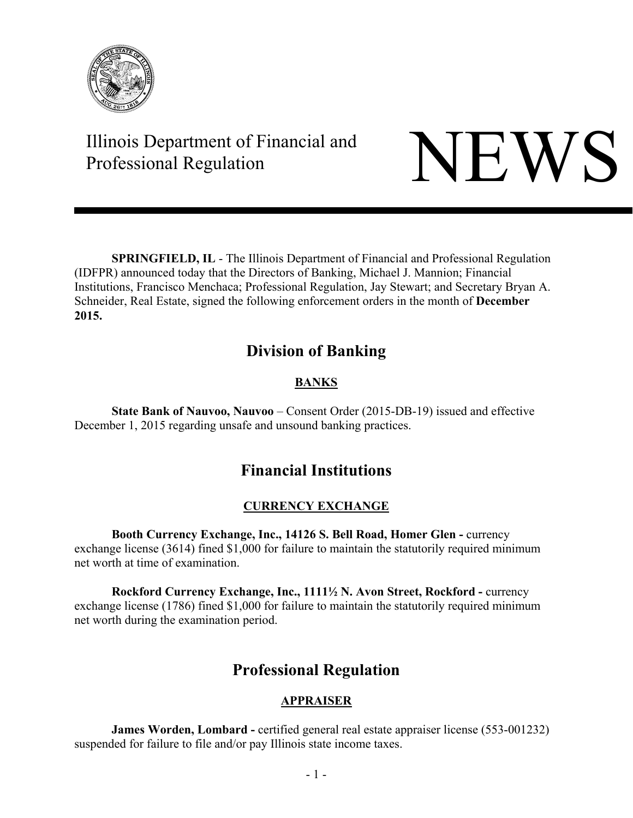

# Illinois Department of Financial and Illinois Department of Financial and<br>Professional Regulation NEWS

**SPRINGFIELD, IL** - The Illinois Department of Financial and Professional Regulation (IDFPR) announced today that the Directors of Banking, Michael J. Mannion; Financial Institutions, Francisco Menchaca; Professional Regulation, Jay Stewart; and Secretary Bryan A. Schneider, Real Estate, signed the following enforcement orders in the month of **December 2015.** 

### **Division of Banking**

### **BANKS**

**State Bank of Nauvoo, Nauvoo** – Consent Order (2015-DB-19) issued and effective December 1, 2015 regarding unsafe and unsound banking practices.

## **Financial Institutions**

#### **CURRENCY EXCHANGE**

 **Booth Currency Exchange, Inc., 14126 S. Bell Road, Homer Glen -** currency exchange license (3614) fined \$1,000 for failure to maintain the statutorily required minimum net worth at time of examination.

 **Rockford Currency Exchange, Inc., 1111½ N. Avon Street, Rockford -** currency exchange license (1786) fined \$1,000 for failure to maintain the statutorily required minimum net worth during the examination period.

### **Professional Regulation**

#### **APPRAISER**

**James Worden, Lombard -** certified general real estate appraiser license (553-001232) suspended for failure to file and/or pay Illinois state income taxes.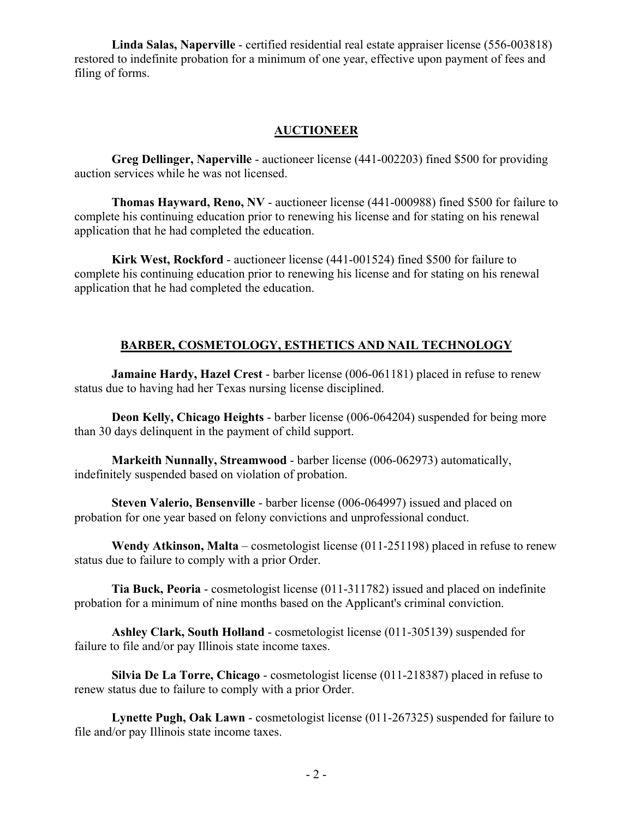**Linda Salas, Naperville** - certified residential real estate appraiser license (556-003818) restored to indefinite probation for a minimum of one year, effective upon payment of fees and filing of forms.

#### **AUCTIONEER**

**Greg Dellinger, Naperville** - auctioneer license (441-002203) fined \$500 for providing auction services while he was not licensed.

**Thomas Hayward, Reno, NV** - auctioneer license (441-000988) fined \$500 for failure to complete his continuing education prior to renewing his license and for stating on his renewal application that he had completed the education.

**Kirk West, Rockford** - auctioneer license (441-001524) fined \$500 for failure to complete his continuing education prior to renewing his license and for stating on his renewal application that he had completed the education.

#### **BARBER, COSMETOLOGY, ESTHETICS AND NAIL TECHNOLOGY**

**Jamaine Hardy, Hazel Crest** - barber license (006-061181) placed in refuse to renew status due to having had her Texas nursing license disciplined.

**Deon Kelly, Chicago Heights** - barber license (006-064204) suspended for being more than 30 days delinquent in the payment of child support.

**Markeith Nunnally, Streamwood** - barber license (006-062973) automatically, indefinitely suspended based on violation of probation.

**Steven Valerio, Bensenville** - barber license (006-064997) issued and placed on probation for one year based on felony convictions and unprofessional conduct.

**Wendy Atkinson, Malta** – cosmetologist license (011-251198) placed in refuse to renew status due to failure to comply with a prior Order.

**Tia Buck, Peoria** - cosmetologist license (011-311782) issued and placed on indefinite probation for a minimum of nine months based on the Applicant's criminal conviction.

**Ashley Clark, South Holland** - cosmetologist license (011-305139) suspended for failure to file and/or pay Illinois state income taxes.

**Silvia De La Torre, Chicago** - cosmetologist license (011-218387) placed in refuse to renew status due to failure to comply with a prior Order.

**Lynette Pugh, Oak Lawn** - cosmetologist license (011-267325) suspended for failure to file and/or pay Illinois state income taxes.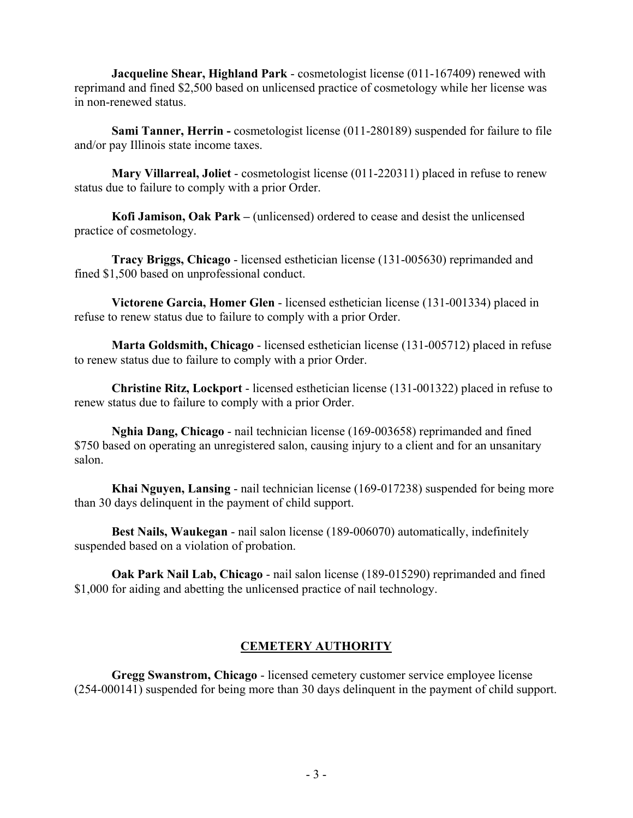**Jacqueline Shear, Highland Park** - cosmetologist license (011-167409) renewed with reprimand and fined \$2,500 based on unlicensed practice of cosmetology while her license was in non-renewed status.

**Sami Tanner, Herrin -** cosmetologist license (011-280189) suspended for failure to file and/or pay Illinois state income taxes.

**Mary Villarreal, Joliet** - cosmetologist license (011-220311) placed in refuse to renew status due to failure to comply with a prior Order.

**Kofi Jamison, Oak Park –** (unlicensed) ordered to cease and desist the unlicensed practice of cosmetology.

**Tracy Briggs, Chicago** - licensed esthetician license (131-005630) reprimanded and fined \$1,500 based on unprofessional conduct.

**Victorene Garcia, Homer Glen** - licensed esthetician license (131-001334) placed in refuse to renew status due to failure to comply with a prior Order.

**Marta Goldsmith, Chicago** - licensed esthetician license (131-005712) placed in refuse to renew status due to failure to comply with a prior Order.

**Christine Ritz, Lockport** - licensed esthetician license (131-001322) placed in refuse to renew status due to failure to comply with a prior Order.

**Nghia Dang, Chicago** - nail technician license (169-003658) reprimanded and fined \$750 based on operating an unregistered salon, causing injury to a client and for an unsanitary salon.

**Khai Nguyen, Lansing** - nail technician license (169-017238) suspended for being more than 30 days delinquent in the payment of child support.

**Best Nails, Waukegan** - nail salon license (189-006070) automatically, indefinitely suspended based on a violation of probation.

**Oak Park Nail Lab, Chicago** - nail salon license (189-015290) reprimanded and fined \$1,000 for aiding and abetting the unlicensed practice of nail technology.

#### **CEMETERY AUTHORITY**

**Gregg Swanstrom, Chicago** - licensed cemetery customer service employee license (254-000141) suspended for being more than 30 days delinquent in the payment of child support.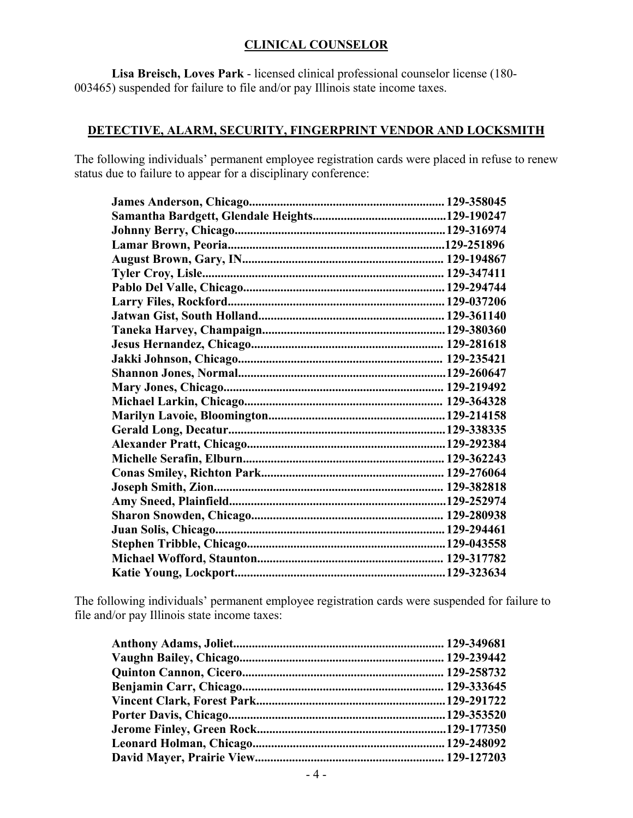#### **CLINICAL COUNSELOR**

**Lisa Breisch, Loves Park** - licensed clinical professional counselor license (180- 003465) suspended for failure to file and/or pay Illinois state income taxes.

#### **DETECTIVE, ALARM, SECURITY, FINGERPRINT VENDOR AND LOCKSMITH**

The following individuals' permanent employee registration cards were placed in refuse to renew status due to failure to appear for a disciplinary conference:

The following individuals' permanent employee registration cards were suspended for failure to file and/or pay Illinois state income taxes: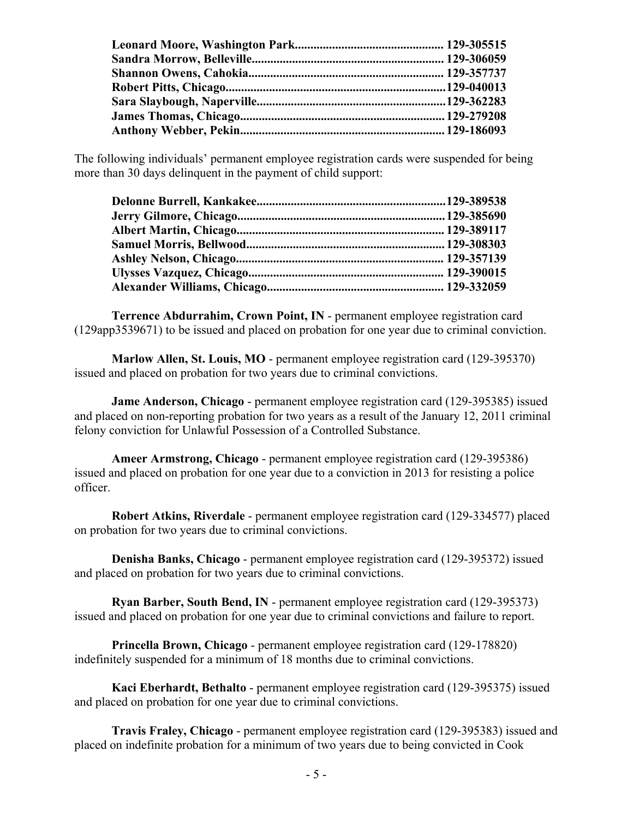The following individuals' permanent employee registration cards were suspended for being more than 30 days delinquent in the payment of child support:

**Terrence Abdurrahim, Crown Point, IN** - permanent employee registration card (129app3539671) to be issued and placed on probation for one year due to criminal conviction.

**Marlow Allen, St. Louis, MO** - permanent employee registration card (129-395370) issued and placed on probation for two years due to criminal convictions.

**Jame Anderson, Chicago** - permanent employee registration card (129-395385) issued and placed on non-reporting probation for two years as a result of the January 12, 2011 criminal felony conviction for Unlawful Possession of a Controlled Substance.

**Ameer Armstrong, Chicago** - permanent employee registration card (129-395386) issued and placed on probation for one year due to a conviction in 2013 for resisting a police officer.

**Robert Atkins, Riverdale** - permanent employee registration card (129-334577) placed on probation for two years due to criminal convictions.

**Denisha Banks, Chicago** - permanent employee registration card (129-395372) issued and placed on probation for two years due to criminal convictions.

**Ryan Barber, South Bend, IN** - permanent employee registration card (129-395373) issued and placed on probation for one year due to criminal convictions and failure to report.

**Princella Brown, Chicago** - permanent employee registration card (129-178820) indefinitely suspended for a minimum of 18 months due to criminal convictions.

**Kaci Eberhardt, Bethalto** - permanent employee registration card (129-395375) issued and placed on probation for one year due to criminal convictions.

**Travis Fraley, Chicago** - permanent employee registration card (129-395383) issued and placed on indefinite probation for a minimum of two years due to being convicted in Cook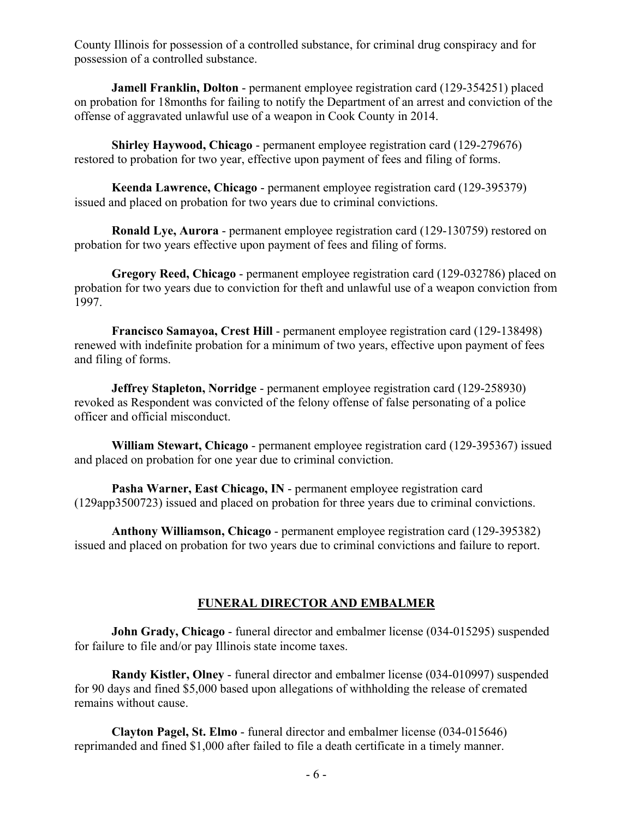County Illinois for possession of a controlled substance, for criminal drug conspiracy and for possession of a controlled substance.

**Jamell Franklin, Dolton** - permanent employee registration card (129-354251) placed on probation for 18months for failing to notify the Department of an arrest and conviction of the offense of aggravated unlawful use of a weapon in Cook County in 2014.

**Shirley Haywood, Chicago** - permanent employee registration card (129-279676) restored to probation for two year, effective upon payment of fees and filing of forms.

**Keenda Lawrence, Chicago** - permanent employee registration card (129-395379) issued and placed on probation for two years due to criminal convictions.

**Ronald Lye, Aurora** - permanent employee registration card (129-130759) restored on probation for two years effective upon payment of fees and filing of forms.

**Gregory Reed, Chicago** - permanent employee registration card (129-032786) placed on probation for two years due to conviction for theft and unlawful use of a weapon conviction from 1997.

**Francisco Samayoa, Crest Hill** - permanent employee registration card (129-138498) renewed with indefinite probation for a minimum of two years, effective upon payment of fees and filing of forms.

**Jeffrey Stapleton, Norridge** - permanent employee registration card (129-258930) revoked as Respondent was convicted of the felony offense of false personating of a police officer and official misconduct.

**William Stewart, Chicago** - permanent employee registration card (129-395367) issued and placed on probation for one year due to criminal conviction.

**Pasha Warner, East Chicago, IN** - permanent employee registration card (129app3500723) issued and placed on probation for three years due to criminal convictions.

**Anthony Williamson, Chicago** - permanent employee registration card (129-395382) issued and placed on probation for two years due to criminal convictions and failure to report.

#### **FUNERAL DIRECTOR AND EMBALMER**

**John Grady, Chicago** - funeral director and embalmer license (034-015295) suspended for failure to file and/or pay Illinois state income taxes.

**Randy Kistler, Olney** - funeral director and embalmer license (034-010997) suspended for 90 days and fined \$5,000 based upon allegations of withholding the release of cremated remains without cause.

**Clayton Pagel, St. Elmo** - funeral director and embalmer license (034-015646) reprimanded and fined \$1,000 after failed to file a death certificate in a timely manner.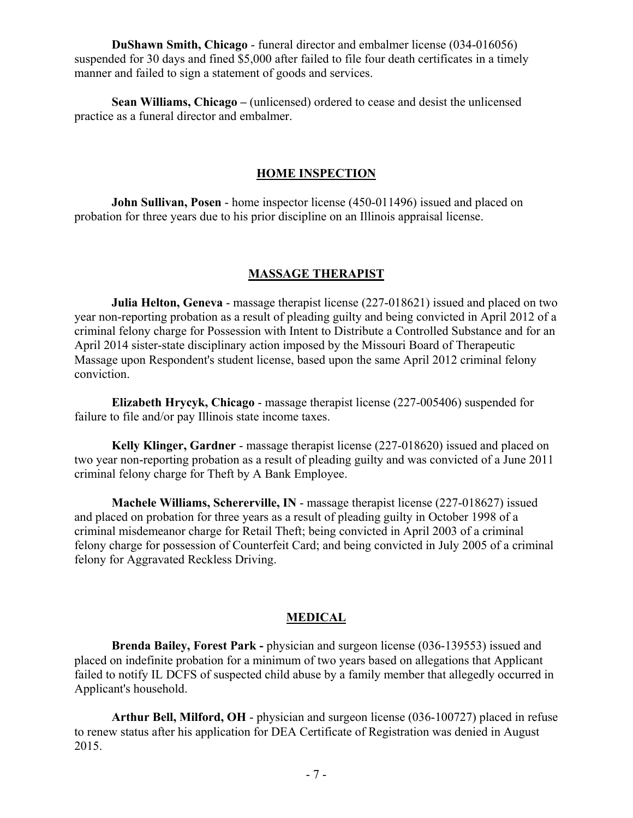**DuShawn Smith, Chicago** - funeral director and embalmer license (034-016056) suspended for 30 days and fined \$5,000 after failed to file four death certificates in a timely manner and failed to sign a statement of goods and services.

**Sean Williams, Chicago –** (unlicensed) ordered to cease and desist the unlicensed practice as a funeral director and embalmer.

#### **HOME INSPECTION**

**John Sullivan, Posen** - home inspector license (450-011496) issued and placed on probation for three years due to his prior discipline on an Illinois appraisal license.

#### **MASSAGE THERAPIST**

**Julia Helton, Geneva** - massage therapist license (227-018621) issued and placed on two year non-reporting probation as a result of pleading guilty and being convicted in April 2012 of a criminal felony charge for Possession with Intent to Distribute a Controlled Substance and for an April 2014 sister-state disciplinary action imposed by the Missouri Board of Therapeutic Massage upon Respondent's student license, based upon the same April 2012 criminal felony conviction.

**Elizabeth Hrycyk, Chicago** - massage therapist license (227-005406) suspended for failure to file and/or pay Illinois state income taxes.

**Kelly Klinger, Gardner** - massage therapist license (227-018620) issued and placed on two year non-reporting probation as a result of pleading guilty and was convicted of a June 2011 criminal felony charge for Theft by A Bank Employee.

**Machele Williams, Schererville, IN** - massage therapist license (227-018627) issued and placed on probation for three years as a result of pleading guilty in October 1998 of a criminal misdemeanor charge for Retail Theft; being convicted in April 2003 of a criminal felony charge for possession of Counterfeit Card; and being convicted in July 2005 of a criminal felony for Aggravated Reckless Driving.

#### **MEDICAL**

**Brenda Bailey, Forest Park -** physician and surgeon license (036-139553) issued and placed on indefinite probation for a minimum of two years based on allegations that Applicant failed to notify IL DCFS of suspected child abuse by a family member that allegedly occurred in Applicant's household.

**Arthur Bell, Milford, OH** - physician and surgeon license (036-100727) placed in refuse to renew status after his application for DEA Certificate of Registration was denied in August 2015.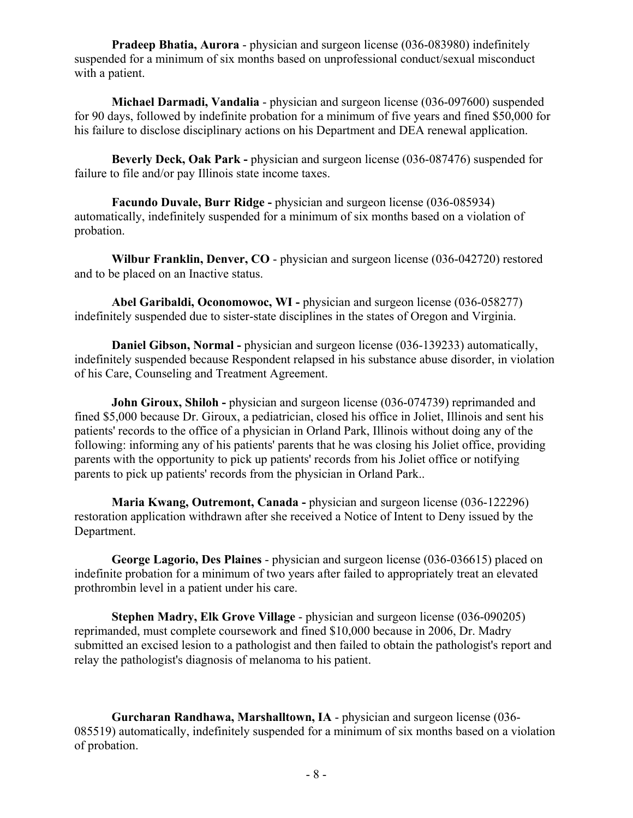**Pradeep Bhatia, Aurora** - physician and surgeon license (036-083980) indefinitely suspended for a minimum of six months based on unprofessional conduct/sexual misconduct with a patient.

**Michael Darmadi, Vandalia** - physician and surgeon license (036-097600) suspended for 90 days, followed by indefinite probation for a minimum of five years and fined \$50,000 for his failure to disclose disciplinary actions on his Department and DEA renewal application.

**Beverly Deck, Oak Park -** physician and surgeon license (036-087476) suspended for failure to file and/or pay Illinois state income taxes.

**Facundo Duvale, Burr Ridge -** physician and surgeon license (036-085934) automatically, indefinitely suspended for a minimum of six months based on a violation of probation.

**Wilbur Franklin, Denver, CO** - physician and surgeon license (036-042720) restored and to be placed on an Inactive status.

**Abel Garibaldi, Oconomowoc, WI -** physician and surgeon license (036-058277) indefinitely suspended due to sister-state disciplines in the states of Oregon and Virginia.

**Daniel Gibson, Normal -** physician and surgeon license (036-139233) automatically, indefinitely suspended because Respondent relapsed in his substance abuse disorder, in violation of his Care, Counseling and Treatment Agreement.

**John Giroux, Shiloh -** physician and surgeon license (036-074739) reprimanded and fined \$5,000 because Dr. Giroux, a pediatrician, closed his office in Joliet, Illinois and sent his patients' records to the office of a physician in Orland Park, Illinois without doing any of the following: informing any of his patients' parents that he was closing his Joliet office, providing parents with the opportunity to pick up patients' records from his Joliet office or notifying parents to pick up patients' records from the physician in Orland Park..

**Maria Kwang, Outremont, Canada -** physician and surgeon license (036-122296) restoration application withdrawn after she received a Notice of Intent to Deny issued by the Department.

**George Lagorio, Des Plaines** - physician and surgeon license (036-036615) placed on indefinite probation for a minimum of two years after failed to appropriately treat an elevated prothrombin level in a patient under his care.

**Stephen Madry, Elk Grove Village** - physician and surgeon license (036-090205) reprimanded, must complete coursework and fined \$10,000 because in 2006, Dr. Madry submitted an excised lesion to a pathologist and then failed to obtain the pathologist's report and relay the pathologist's diagnosis of melanoma to his patient.

**Gurcharan Randhawa, Marshalltown, IA** - physician and surgeon license (036- 085519) automatically, indefinitely suspended for a minimum of six months based on a violation of probation.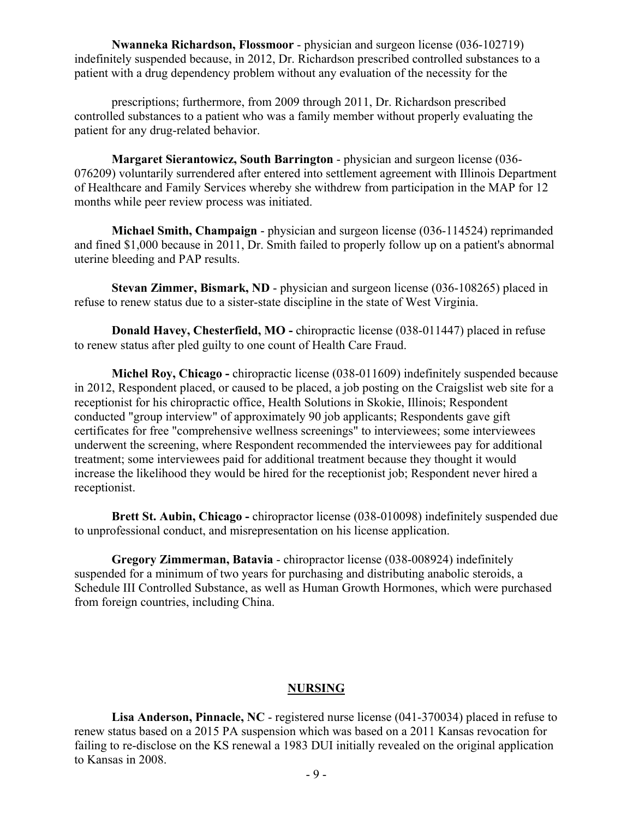**Nwanneka Richardson, Flossmoor** - physician and surgeon license (036-102719) indefinitely suspended because, in 2012, Dr. Richardson prescribed controlled substances to a patient with a drug dependency problem without any evaluation of the necessity for the

prescriptions; furthermore, from 2009 through 2011, Dr. Richardson prescribed controlled substances to a patient who was a family member without properly evaluating the patient for any drug-related behavior.

**Margaret Sierantowicz, South Barrington** - physician and surgeon license (036- 076209) voluntarily surrendered after entered into settlement agreement with Illinois Department of Healthcare and Family Services whereby she withdrew from participation in the MAP for 12 months while peer review process was initiated.

**Michael Smith, Champaign** - physician and surgeon license (036-114524) reprimanded and fined \$1,000 because in 2011, Dr. Smith failed to properly follow up on a patient's abnormal uterine bleeding and PAP results.

**Stevan Zimmer, Bismark, ND** - physician and surgeon license (036-108265) placed in refuse to renew status due to a sister-state discipline in the state of West Virginia.

**Donald Havey, Chesterfield, MO -** chiropractic license (038-011447) placed in refuse to renew status after pled guilty to one count of Health Care Fraud.

**Michel Roy, Chicago -** chiropractic license (038-011609) indefinitely suspended because in 2012, Respondent placed, or caused to be placed, a job posting on the Craigslist web site for a receptionist for his chiropractic office, Health Solutions in Skokie, Illinois; Respondent conducted "group interview" of approximately 90 job applicants; Respondents gave gift certificates for free "comprehensive wellness screenings" to interviewees; some interviewees underwent the screening, where Respondent recommended the interviewees pay for additional treatment; some interviewees paid for additional treatment because they thought it would increase the likelihood they would be hired for the receptionist job; Respondent never hired a receptionist.

**Brett St. Aubin, Chicago -** chiropractor license (038-010098) indefinitely suspended due to unprofessional conduct, and misrepresentation on his license application.

**Gregory Zimmerman, Batavia** - chiropractor license (038-008924) indefinitely suspended for a minimum of two years for purchasing and distributing anabolic steroids, a Schedule III Controlled Substance, as well as Human Growth Hormones, which were purchased from foreign countries, including China.

#### **NURSING**

**Lisa Anderson, Pinnacle, NC** - registered nurse license (041-370034) placed in refuse to renew status based on a 2015 PA suspension which was based on a 2011 Kansas revocation for failing to re-disclose on the KS renewal a 1983 DUI initially revealed on the original application to Kansas in 2008.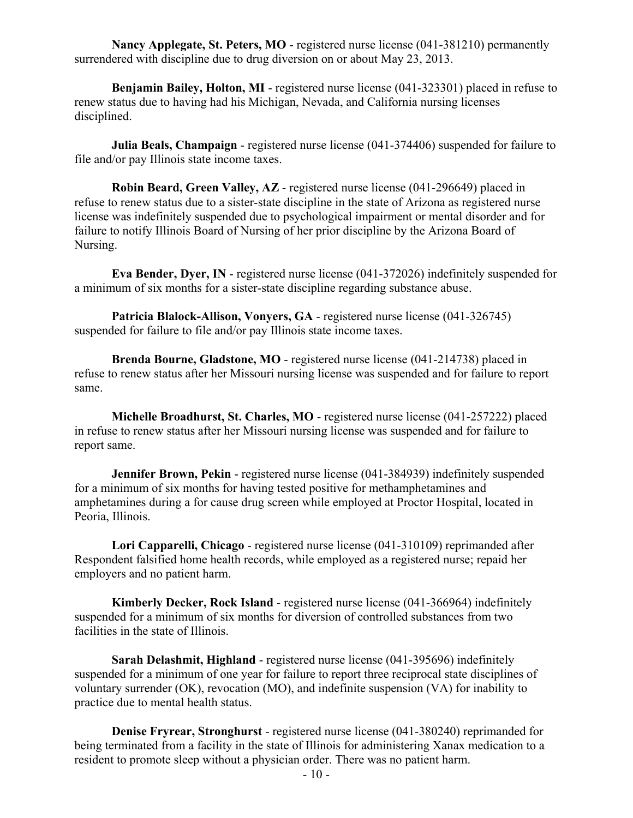**Nancy Applegate, St. Peters, MO** - registered nurse license (041-381210) permanently surrendered with discipline due to drug diversion on or about May 23, 2013.

**Benjamin Bailey, Holton, MI** - registered nurse license (041-323301) placed in refuse to renew status due to having had his Michigan, Nevada, and California nursing licenses disciplined.

**Julia Beals, Champaign** - registered nurse license (041-374406) suspended for failure to file and/or pay Illinois state income taxes.

**Robin Beard, Green Valley, AZ** - registered nurse license (041-296649) placed in refuse to renew status due to a sister-state discipline in the state of Arizona as registered nurse license was indefinitely suspended due to psychological impairment or mental disorder and for failure to notify Illinois Board of Nursing of her prior discipline by the Arizona Board of Nursing.

**Eva Bender, Dyer, IN** - registered nurse license (041-372026) indefinitely suspended for a minimum of six months for a sister-state discipline regarding substance abuse.

**Patricia Blalock-Allison, Vonyers, GA** - registered nurse license (041-326745) suspended for failure to file and/or pay Illinois state income taxes.

**Brenda Bourne, Gladstone, MO** - registered nurse license (041-214738) placed in refuse to renew status after her Missouri nursing license was suspended and for failure to report same.

**Michelle Broadhurst, St. Charles, MO** - registered nurse license (041-257222) placed in refuse to renew status after her Missouri nursing license was suspended and for failure to report same.

**Jennifer Brown, Pekin** - registered nurse license (041-384939) indefinitely suspended for a minimum of six months for having tested positive for methamphetamines and amphetamines during a for cause drug screen while employed at Proctor Hospital, located in Peoria, Illinois.

**Lori Capparelli, Chicago** - registered nurse license (041-310109) reprimanded after Respondent falsified home health records, while employed as a registered nurse; repaid her employers and no patient harm.

**Kimberly Decker, Rock Island** - registered nurse license (041-366964) indefinitely suspended for a minimum of six months for diversion of controlled substances from two facilities in the state of Illinois.

**Sarah Delashmit, Highland** - registered nurse license (041-395696) indefinitely suspended for a minimum of one year for failure to report three reciprocal state disciplines of voluntary surrender (OK), revocation (MO), and indefinite suspension (VA) for inability to practice due to mental health status.

**Denise Fryrear, Stronghurst** - registered nurse license (041-380240) reprimanded for being terminated from a facility in the state of Illinois for administering Xanax medication to a resident to promote sleep without a physician order. There was no patient harm.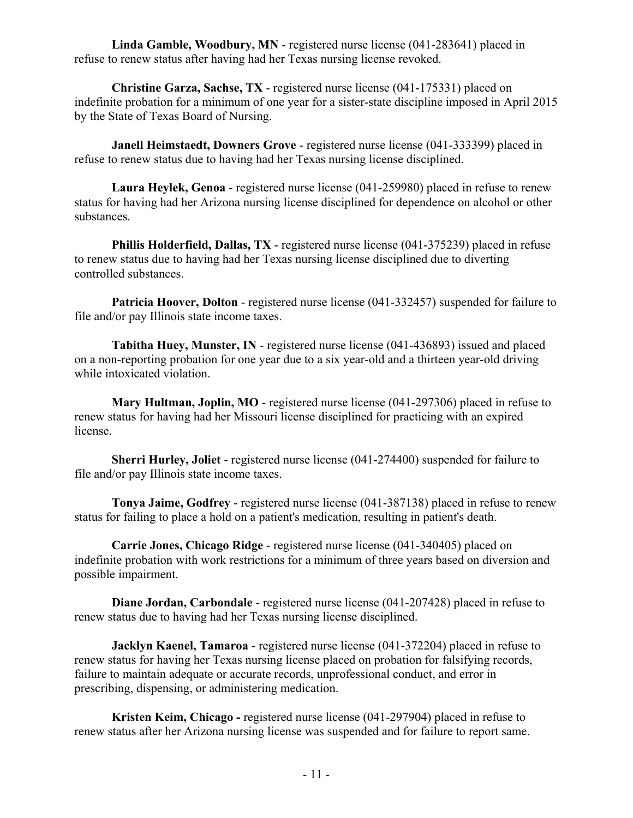**Linda Gamble, Woodbury, MN** - registered nurse license (041-283641) placed in refuse to renew status after having had her Texas nursing license revoked.

**Christine Garza, Sachse, TX** - registered nurse license (041-175331) placed on indefinite probation for a minimum of one year for a sister-state discipline imposed in April 2015 by the State of Texas Board of Nursing.

**Janell Heimstaedt, Downers Grove** - registered nurse license (041-333399) placed in refuse to renew status due to having had her Texas nursing license disciplined.

**Laura Heylek, Genoa** - registered nurse license (041-259980) placed in refuse to renew status for having had her Arizona nursing license disciplined for dependence on alcohol or other substances.

**Phillis Holderfield, Dallas, TX** - registered nurse license (041-375239) placed in refuse to renew status due to having had her Texas nursing license disciplined due to diverting controlled substances.

**Patricia Hoover, Dolton** - registered nurse license (041-332457) suspended for failure to file and/or pay Illinois state income taxes.

**Tabitha Huey, Munster, IN** - registered nurse license (041-436893) issued and placed on a non-reporting probation for one year due to a six year-old and a thirteen year-old driving while intoxicated violation.

**Mary Hultman, Joplin, MO** - registered nurse license (041-297306) placed in refuse to renew status for having had her Missouri license disciplined for practicing with an expired license.

**Sherri Hurley, Joliet** - registered nurse license (041-274400) suspended for failure to file and/or pay Illinois state income taxes.

**Tonya Jaime, Godfrey** - registered nurse license (041-387138) placed in refuse to renew status for failing to place a hold on a patient's medication, resulting in patient's death.

**Carrie Jones, Chicago Ridge** - registered nurse license (041-340405) placed on indefinite probation with work restrictions for a minimum of three years based on diversion and possible impairment.

**Diane Jordan, Carbondale** - registered nurse license (041-207428) placed in refuse to renew status due to having had her Texas nursing license disciplined.

**Jacklyn Kaenel, Tamaroa** - registered nurse license (041-372204) placed in refuse to renew status for having her Texas nursing license placed on probation for falsifying records, failure to maintain adequate or accurate records, unprofessional conduct, and error in prescribing, dispensing, or administering medication.

**Kristen Keim, Chicago -** registered nurse license (041-297904) placed in refuse to renew status after her Arizona nursing license was suspended and for failure to report same.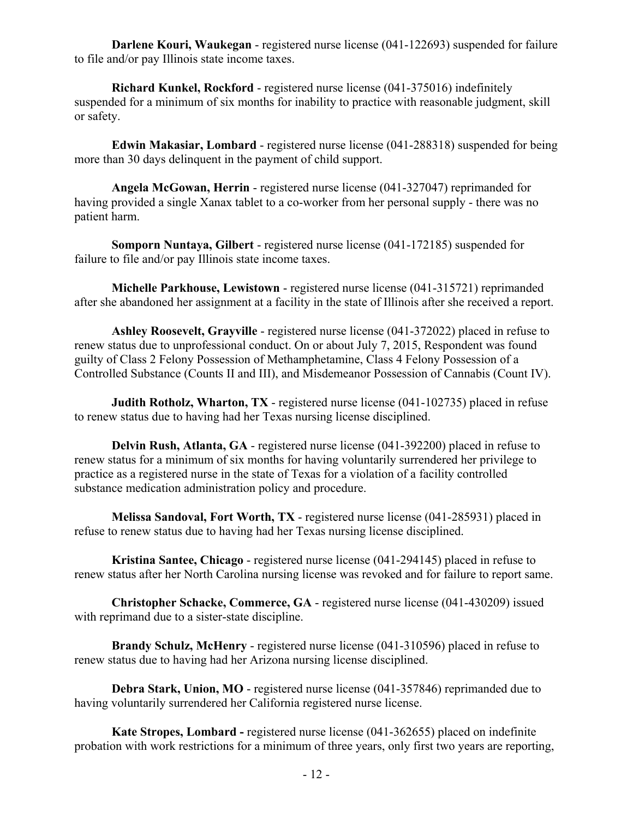**Darlene Kouri, Waukegan** - registered nurse license (041-122693) suspended for failure to file and/or pay Illinois state income taxes.

**Richard Kunkel, Rockford** - registered nurse license (041-375016) indefinitely suspended for a minimum of six months for inability to practice with reasonable judgment, skill or safety.

**Edwin Makasiar, Lombard** - registered nurse license (041-288318) suspended for being more than 30 days delinquent in the payment of child support.

**Angela McGowan, Herrin** - registered nurse license (041-327047) reprimanded for having provided a single Xanax tablet to a co-worker from her personal supply - there was no patient harm.

**Somporn Nuntaya, Gilbert** - registered nurse license (041-172185) suspended for failure to file and/or pay Illinois state income taxes.

**Michelle Parkhouse, Lewistown** - registered nurse license (041-315721) reprimanded after she abandoned her assignment at a facility in the state of Illinois after she received a report.

**Ashley Roosevelt, Grayville** - registered nurse license (041-372022) placed in refuse to renew status due to unprofessional conduct. On or about July 7, 2015, Respondent was found guilty of Class 2 Felony Possession of Methamphetamine, Class 4 Felony Possession of a Controlled Substance (Counts II and III), and Misdemeanor Possession of Cannabis (Count IV).

**Judith Rotholz, Wharton, TX** - registered nurse license (041-102735) placed in refuse to renew status due to having had her Texas nursing license disciplined.

**Delvin Rush, Atlanta, GA** - registered nurse license (041-392200) placed in refuse to renew status for a minimum of six months for having voluntarily surrendered her privilege to practice as a registered nurse in the state of Texas for a violation of a facility controlled substance medication administration policy and procedure.

**Melissa Sandoval, Fort Worth, TX** - registered nurse license (041-285931) placed in refuse to renew status due to having had her Texas nursing license disciplined.

**Kristina Santee, Chicago** - registered nurse license (041-294145) placed in refuse to renew status after her North Carolina nursing license was revoked and for failure to report same.

**Christopher Schacke, Commerce, GA** - registered nurse license (041-430209) issued with reprimand due to a sister-state discipline.

**Brandy Schulz, McHenry** - registered nurse license (041-310596) placed in refuse to renew status due to having had her Arizona nursing license disciplined.

**Debra Stark, Union, MO** - registered nurse license (041-357846) reprimanded due to having voluntarily surrendered her California registered nurse license.

**Kate Stropes, Lombard -** registered nurse license (041-362655) placed on indefinite probation with work restrictions for a minimum of three years, only first two years are reporting,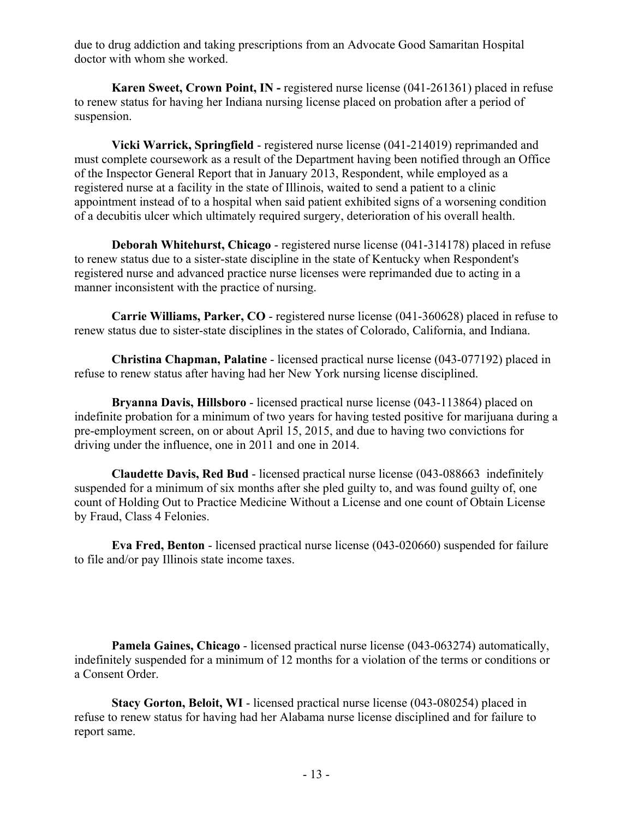due to drug addiction and taking prescriptions from an Advocate Good Samaritan Hospital doctor with whom she worked.

**Karen Sweet, Crown Point, IN -** registered nurse license (041-261361) placed in refuse to renew status for having her Indiana nursing license placed on probation after a period of suspension.

**Vicki Warrick, Springfield** - registered nurse license (041-214019) reprimanded and must complete coursework as a result of the Department having been notified through an Office of the Inspector General Report that in January 2013, Respondent, while employed as a registered nurse at a facility in the state of Illinois, waited to send a patient to a clinic appointment instead of to a hospital when said patient exhibited signs of a worsening condition of a decubitis ulcer which ultimately required surgery, deterioration of his overall health.

**Deborah Whitehurst, Chicago** - registered nurse license (041-314178) placed in refuse to renew status due to a sister-state discipline in the state of Kentucky when Respondent's registered nurse and advanced practice nurse licenses were reprimanded due to acting in a manner inconsistent with the practice of nursing.

**Carrie Williams, Parker, CO** - registered nurse license (041-360628) placed in refuse to renew status due to sister-state disciplines in the states of Colorado, California, and Indiana.

**Christina Chapman, Palatine** - licensed practical nurse license (043-077192) placed in refuse to renew status after having had her New York nursing license disciplined.

**Bryanna Davis, Hillsboro** - licensed practical nurse license (043-113864) placed on indefinite probation for a minimum of two years for having tested positive for marijuana during a pre-employment screen, on or about April 15, 2015, and due to having two convictions for driving under the influence, one in 2011 and one in 2014.

**Claudette Davis, Red Bud** - licensed practical nurse license (043-088663 indefinitely suspended for a minimum of six months after she pled guilty to, and was found guilty of, one count of Holding Out to Practice Medicine Without a License and one count of Obtain License by Fraud, Class 4 Felonies.

**Eva Fred, Benton** - licensed practical nurse license (043-020660) suspended for failure to file and/or pay Illinois state income taxes.

**Pamela Gaines, Chicago** - licensed practical nurse license (043-063274) automatically, indefinitely suspended for a minimum of 12 months for a violation of the terms or conditions or a Consent Order.

**Stacy Gorton, Beloit, WI** - licensed practical nurse license (043-080254) placed in refuse to renew status for having had her Alabama nurse license disciplined and for failure to report same.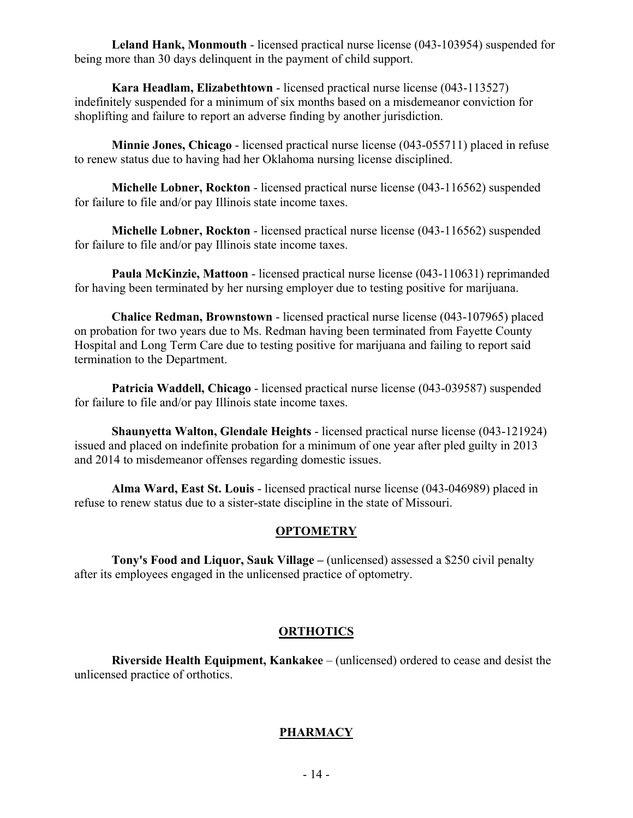**Leland Hank, Monmouth** - licensed practical nurse license (043-103954) suspended for being more than 30 days delinquent in the payment of child support.

**Kara Headlam, Elizabethtown** - licensed practical nurse license (043-113527) indefinitely suspended for a minimum of six months based on a misdemeanor conviction for shoplifting and failure to report an adverse finding by another jurisdiction.

**Minnie Jones, Chicago** - licensed practical nurse license (043-055711) placed in refuse to renew status due to having had her Oklahoma nursing license disciplined.

**Michelle Lobner, Rockton** - licensed practical nurse license (043-116562) suspended for failure to file and/or pay Illinois state income taxes.

**Michelle Lobner, Rockton** - licensed practical nurse license (043-116562) suspended for failure to file and/or pay Illinois state income taxes.

**Paula McKinzie, Mattoon** - licensed practical nurse license (043-110631) reprimanded for having been terminated by her nursing employer due to testing positive for marijuana.

**Chalice Redman, Brownstown** - licensed practical nurse license (043-107965) placed on probation for two years due to Ms. Redman having been terminated from Fayette County Hospital and Long Term Care due to testing positive for marijuana and failing to report said termination to the Department.

**Patricia Waddell, Chicago** - licensed practical nurse license (043-039587) suspended for failure to file and/or pay Illinois state income taxes.

**Shaunyetta Walton, Glendale Heights** - licensed practical nurse license (043-121924) issued and placed on indefinite probation for a minimum of one year after pled guilty in 2013 and 2014 to misdemeanor offenses regarding domestic issues.

**Alma Ward, East St. Louis** - licensed practical nurse license (043-046989) placed in refuse to renew status due to a sister-state discipline in the state of Missouri.

#### **OPTOMETRY**

**Tony's Food and Liquor, Sauk Village –** (unlicensed) assessed a \$250 civil penalty after its employees engaged in the unlicensed practice of optometry.

#### **ORTHOTICS**

**Riverside Health Equipment, Kankakee** – (unlicensed) ordered to cease and desist the unlicensed practice of orthotics.

#### **PHARMACY**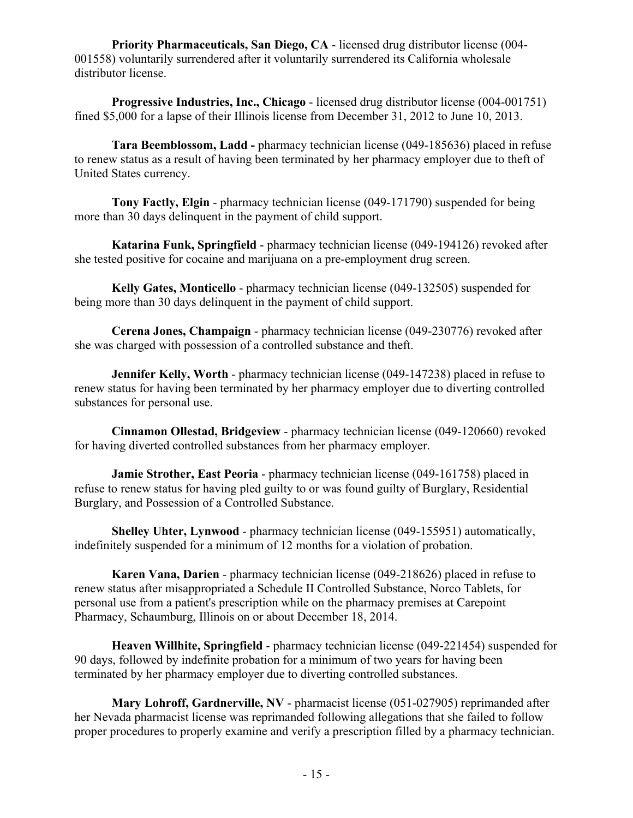**Priority Pharmaceuticals, San Diego, CA** - licensed drug distributor license (004- 001558) voluntarily surrendered after it voluntarily surrendered its California wholesale distributor license.

**Progressive Industries, Inc., Chicago** - licensed drug distributor license (004-001751) fined \$5,000 for a lapse of their Illinois license from December 31, 2012 to June 10, 2013.

**Tara Beemblossom, Ladd -** pharmacy technician license (049-185636) placed in refuse to renew status as a result of having been terminated by her pharmacy employer due to theft of United States currency.

**Tony Factly, Elgin** - pharmacy technician license (049-171790) suspended for being more than 30 days delinquent in the payment of child support.

**Katarina Funk, Springfield** - pharmacy technician license (049-194126) revoked after she tested positive for cocaine and marijuana on a pre-employment drug screen.

**Kelly Gates, Monticello** - pharmacy technician license (049-132505) suspended for being more than 30 days delinquent in the payment of child support.

**Cerena Jones, Champaign** - pharmacy technician license (049-230776) revoked after she was charged with possession of a controlled substance and theft.

**Jennifer Kelly, Worth** - pharmacy technician license (049-147238) placed in refuse to renew status for having been terminated by her pharmacy employer due to diverting controlled substances for personal use.

**Cinnamon Ollestad, Bridgeview** - pharmacy technician license (049-120660) revoked for having diverted controlled substances from her pharmacy employer.

**Jamie Strother, East Peoria** - pharmacy technician license (049-161758) placed in refuse to renew status for having pled guilty to or was found guilty of Burglary, Residential Burglary, and Possession of a Controlled Substance.

**Shelley Uhter, Lynwood** - pharmacy technician license (049-155951) automatically, indefinitely suspended for a minimum of 12 months for a violation of probation.

**Karen Vana, Darien** - pharmacy technician license (049-218626) placed in refuse to renew status after misappropriated a Schedule II Controlled Substance, Norco Tablets, for personal use from a patient's prescription while on the pharmacy premises at Carepoint Pharmacy, Schaumburg, Illinois on or about December 18, 2014.

**Heaven Willhite, Springfield** - pharmacy technician license (049-221454) suspended for 90 days, followed by indefinite probation for a minimum of two years for having been terminated by her pharmacy employer due to diverting controlled substances.

**Mary Lohroff, Gardnerville, NV** - pharmacist license (051-027905) reprimanded after her Nevada pharmacist license was reprimanded following allegations that she failed to follow proper procedures to properly examine and verify a prescription filled by a pharmacy technician.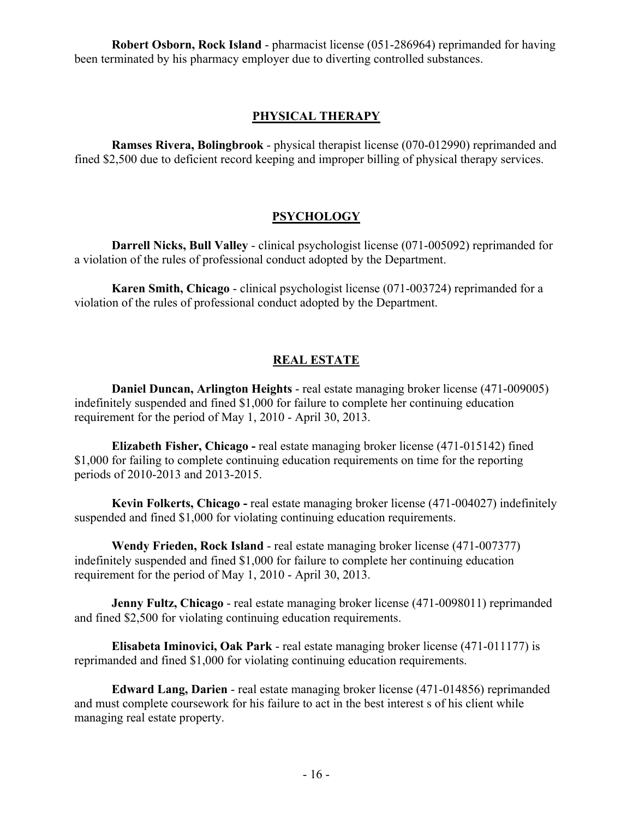**Robert Osborn, Rock Island** - pharmacist license (051-286964) reprimanded for having been terminated by his pharmacy employer due to diverting controlled substances.

#### **PHYSICAL THERAPY**

**Ramses Rivera, Bolingbrook** - physical therapist license (070-012990) reprimanded and fined \$2,500 due to deficient record keeping and improper billing of physical therapy services.

#### **PSYCHOLOGY**

**Darrell Nicks, Bull Valley** - clinical psychologist license (071-005092) reprimanded for a violation of the rules of professional conduct adopted by the Department.

**Karen Smith, Chicago** - clinical psychologist license (071-003724) reprimanded for a violation of the rules of professional conduct adopted by the Department.

#### **REAL ESTATE**

**Daniel Duncan, Arlington Heights** - real estate managing broker license (471-009005) indefinitely suspended and fined \$1,000 for failure to complete her continuing education requirement for the period of May 1, 2010 - April 30, 2013.

**Elizabeth Fisher, Chicago -** real estate managing broker license (471-015142) fined \$1,000 for failing to complete continuing education requirements on time for the reporting periods of 2010-2013 and 2013-2015.

**Kevin Folkerts, Chicago -** real estate managing broker license (471-004027) indefinitely suspended and fined \$1,000 for violating continuing education requirements.

**Wendy Frieden, Rock Island** - real estate managing broker license (471-007377) indefinitely suspended and fined \$1,000 for failure to complete her continuing education requirement for the period of May 1, 2010 - April 30, 2013.

**Jenny Fultz, Chicago** - real estate managing broker license (471-0098011) reprimanded and fined \$2,500 for violating continuing education requirements.

**Elisabeta Iminovici, Oak Park** - real estate managing broker license (471-011177) is reprimanded and fined \$1,000 for violating continuing education requirements.

**Edward Lang, Darien** - real estate managing broker license (471-014856) reprimanded and must complete coursework for his failure to act in the best interest s of his client while managing real estate property.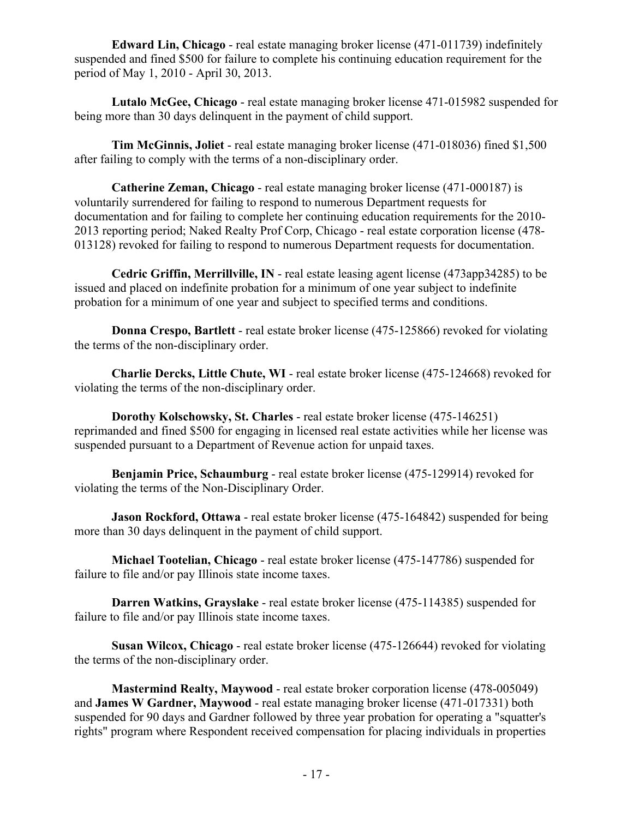**Edward Lin, Chicago** - real estate managing broker license (471-011739) indefinitely suspended and fined \$500 for failure to complete his continuing education requirement for the period of May 1, 2010 - April 30, 2013.

**Lutalo McGee, Chicago** - real estate managing broker license 471-015982 suspended for being more than 30 days delinquent in the payment of child support.

**Tim McGinnis, Joliet** - real estate managing broker license (471-018036) fined \$1,500 after failing to comply with the terms of a non-disciplinary order.

**Catherine Zeman, Chicago** - real estate managing broker license (471-000187) is voluntarily surrendered for failing to respond to numerous Department requests for documentation and for failing to complete her continuing education requirements for the 2010- 2013 reporting period; Naked Realty Prof Corp, Chicago - real estate corporation license (478- 013128) revoked for failing to respond to numerous Department requests for documentation.

**Cedric Griffin, Merrillville, IN** - real estate leasing agent license (473app34285) to be issued and placed on indefinite probation for a minimum of one year subject to indefinite probation for a minimum of one year and subject to specified terms and conditions.

**Donna Crespo, Bartlett** - real estate broker license (475-125866) revoked for violating the terms of the non-disciplinary order.

**Charlie Dercks, Little Chute, WI** - real estate broker license (475-124668) revoked for violating the terms of the non-disciplinary order.

**Dorothy Kolschowsky, St. Charles** - real estate broker license (475-146251) reprimanded and fined \$500 for engaging in licensed real estate activities while her license was suspended pursuant to a Department of Revenue action for unpaid taxes.

**Benjamin Price, Schaumburg** - real estate broker license (475-129914) revoked for violating the terms of the Non-Disciplinary Order.

**Jason Rockford, Ottawa** - real estate broker license (475-164842) suspended for being more than 30 days delinquent in the payment of child support.

**Michael Tootelian, Chicago** - real estate broker license (475-147786) suspended for failure to file and/or pay Illinois state income taxes.

**Darren Watkins, Grayslake** - real estate broker license (475-114385) suspended for failure to file and/or pay Illinois state income taxes.

**Susan Wilcox, Chicago** - real estate broker license (475-126644) revoked for violating the terms of the non-disciplinary order.

**Mastermind Realty, Maywood** - real estate broker corporation license (478-005049) and **James W Gardner, Maywood** - real estate managing broker license (471-017331) both suspended for 90 days and Gardner followed by three year probation for operating a "squatter's rights" program where Respondent received compensation for placing individuals in properties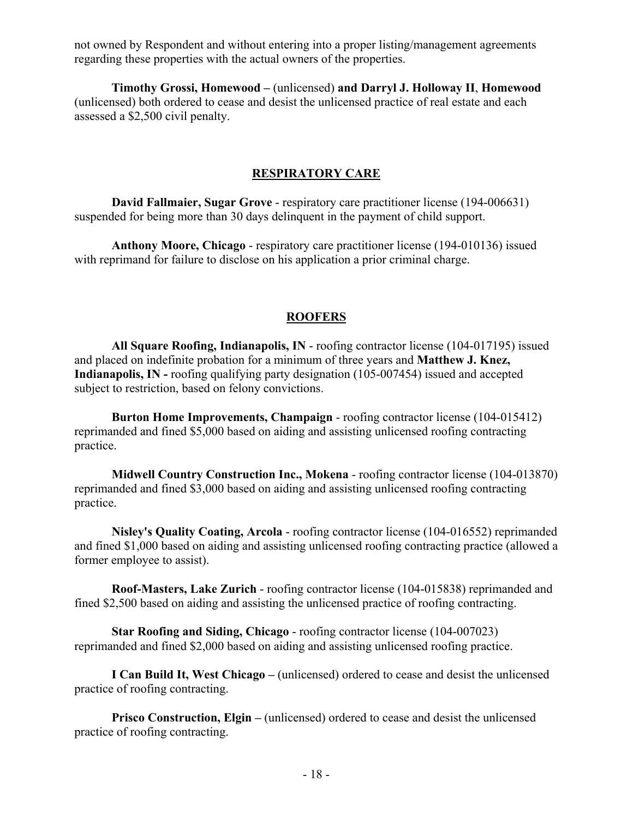not owned by Respondent and without entering into a proper listing/management agreements regarding these properties with the actual owners of the properties.

**Timothy Grossi, Homewood –** (unlicensed) **and Darryl J. Holloway II**, **Homewood** (unlicensed) both ordered to cease and desist the unlicensed practice of real estate and each assessed a \$2,500 civil penalty.

#### **RESPIRATORY CARE**

**David Fallmaier, Sugar Grove** - respiratory care practitioner license (194-006631) suspended for being more than 30 days delinquent in the payment of child support.

**Anthony Moore, Chicago** - respiratory care practitioner license (194-010136) issued with reprimand for failure to disclose on his application a prior criminal charge.

#### **ROOFERS**

**All Square Roofing, Indianapolis, IN** - roofing contractor license (104-017195) issued and placed on indefinite probation for a minimum of three years and **Matthew J. Knez, Indianapolis, IN -** roofing qualifying party designation (105-007454) issued and accepted subject to restriction, based on felony convictions.

**Burton Home Improvements, Champaign** - roofing contractor license (104-015412) reprimanded and fined \$5,000 based on aiding and assisting unlicensed roofing contracting practice.

**Midwell Country Construction Inc., Mokena** - roofing contractor license (104-013870) reprimanded and fined \$3,000 based on aiding and assisting unlicensed roofing contracting practice.

**Nisley's Quality Coating, Arcola** - roofing contractor license (104-016552) reprimanded and fined \$1,000 based on aiding and assisting unlicensed roofing contracting practice (allowed a former employee to assist).

**Roof-Masters, Lake Zurich** - roofing contractor license (104-015838) reprimanded and fined \$2,500 based on aiding and assisting the unlicensed practice of roofing contracting.

**Star Roofing and Siding, Chicago** - roofing contractor license (104-007023) reprimanded and fined \$2,000 based on aiding and assisting unlicensed roofing practice.

**I Can Build It, West Chicago –** (unlicensed) ordered to cease and desist the unlicensed practice of roofing contracting.

**Prisco Construction, Elgin –** (unlicensed) ordered to cease and desist the unlicensed practice of roofing contracting.